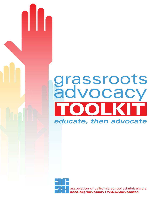# DOL K grassroots advocacy *educate, then advocate*

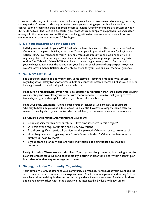Grassroots advocacy, at its heart, is about influencing your local decision-makers by sharing your story and expertise. Grassroots advocacy activities can range from bringing up public education in a conversation or sharing an article on social media to inviting Assembly members or Senators to your district for a tour. The keys to a successful grassroots advocacy campaign are preparation and a clear message. In this document, you will find steps and suggestions for how to advocate for schools and students in your community and/or ACSA Region.

# **1. Do Your Research and Find Support**

Utilizing resources within your ACSA Region is the best place to start. Reach out to your Region Consultant to help start building your team. Contact your Region Vice President for Legislative Action (VPLA). Current and former VPLAs are great resources if you are looking to dive into regional politics. They participate in political activity and organize regional groups for Legislative Action Day. Talk with fellow ACSA members too – you might be surprised to find out which of your colleagues lives down the street from your Senator or whose children play sports together. ACSA's Governmental Relations team is always there for you - call or email them for guidance.

# **2. Set A SMART Goal**

Set a **Specific**, explicit goal for your team. Some examples: securing a meeting with Senator X regarding school safety (or another issue), hold an event with Assemblyperson Y at school site Z, or building a beneficial relationship with your legislator.

Make sure it's **Measurable**. If your goal is to educate your legislator, mark their engagement during your meeting and how often you interact with them afterward. Be sure to track your progress towards your goal with tangible evidence (ex. Phone calls, emails, etc.).

Make your goal **Attainable**. Asking a small group of individuals who are new to grassroots advocacy to hold a large event in four weeks is unrealistic. However, asking that same team to research their legislator(s) and contact their scheduler(s) in that same timeframe is reasonable.

Be **Realistic** and practical. Ask yourself and your team:

- Is the capacity for this event realistic? How time-intensive is this project?
- Will this event require funding, and if so, how much?
- Are there significant political barriers to this project? Who can I ask to make sure?
- How likely are you to get support from influential leaders? What is the best way to pitch your ideas to them?
- Is your team big enough and are their individual skills being utilized to their full potential?

Finally, include a **Timeline**, or a deadline. You may not always meet it, but having a detailed calendar creates structure and accountability. Setting shorter timelines within a larger plan is another effective way to engage your team.

# **3. Strong, Inclusive Community Organizing**

Your campaign is only as strong as your community is organized. Regardless of your event size, be sure to capture your community's message and voice. Start the campaign small and strong. Set the tone by working with key leaders and letting people share ideas and concerns. Reach out both to people you have worked with in the past as well as interested individuals with new visions.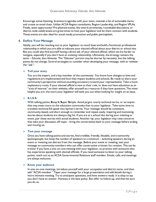Encourage active listening, brainstorm agendas with your team, maintain a list of actionable items, and create an email chain. Utilize ACSA Region consultants, Region Leadership, and Region VPLAs. Finally, seize opportunity! Pre-planned events, like award ceremonies, roundtable discussions, or district-wide celebrations are great times to host your legislator and let them connect with students. These events are also ideal for social media promotion and public perception.

# **4. Define Your Message**

Ideally, you will be reaching out to your legislator to touch base and build a functional, professional relationship in which you are able to educate your elected official about your district or school site. But you could also find yourself having a direct ask of your elected official, which can be harder to navigate, especially if you don't have an existing relationship. Ultimately, the strategy remains the same – *Educate, then Advocate.* The "Educate" portion may be shorter by necessity, but the talking points do not change. Several strategies to consider when developing your message, with or without the "ask":

# ➢ **Tell your story**

You are the expert, and a key member of the community. You know how changes to laws and regulations are implemented and how they impact students and schools. Be ready to share your community's perspective without sounding accusatory toward your representative. Take a more explanatory route. If your elected official is new to their role, or does not have education as an "area of interest" on their website, offer yourself as a resource if they have questions. The more helpful you are, the more your legislator will seek you out when looking for insight on an issue.

# ➢ **K.I.S.S.**

With talking points, **K**eep **I**t **S**uper **S**imple. Avoid jargon, overly technical terms, or acronyms that may mean more to the education community than to your legislator. Take some time to translate technical Ed-speak into laymen's terms. Your message should be consistent, community-based, and short enough to remember and repeat easily. Inspiring and motivating stories about students are always a big hit. If you are at a school site during your meeting or event, pair these stories with actual students. Another tip: your legislator may raise concerns that take your discussion off-topic – bring the conversation back to your message before ending and moving on.

#### ➢ **Test your message**

Once you have talking points and stories, find credible, friendly, likeable, and trustworthy spokespeople, but keep the number of speakers to a minimum – switching speakers during an event or meeting can detract from the message. Before your event or meeting, test your message on community members who can offer constructive criticism for revision. This can be trickier if you have a one-on-one meeting with your legislator, so practice with someone who has experience speaking with elected officials. If you need someone to listen to your talking points, reach out to an ACSA Governmental Relations staff member. Emails, calls, and meetings are always welcome.

#### ➢ **Know your audience**

In one-on-one meetings, introduce yourself with your occupation and district name, and then add "ACSA member." Taper your message for a large presentation and add details during a more intimate meeting. Try to anticipate questions, and have answers ready. It is okay to say you don't have an answer. Honesty is the best policy. But offer to follow-up, and then be sure you do so.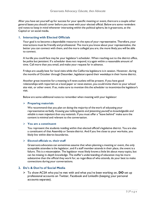After you have set yourself up for success for your specific meeting or event, there are a couple other general bases you should cover before you meet with your elected official. Below are some reminders and notes to keep in mind whenever interacting within the political sphere, be it grassroots, at the Capitol or on social media.

# **1. Interacting with Elected Officials**

Your goal is to become a dependable resource in the eyes of your representative. Therefore, your interactions must be friendly and professional. The more you know about your representative, the better you can connect with them, and the more collegial you are, the more likely you will be able to connect.

A hurdle you could face may be your legislator's scheduler. When reaching out to the district office, be polite but *persistent*. If a scheduler does not respond, try again within a reasonable amount of time. Call more than you email, and make your request far in advance.

Fridays are usually best for local visits while the California legislature is in session. However, during the months of October through December, legislators spend their weekdays in their home district.

Another great incentive for a meeting is if news outlets will be present. If you have good relationships with reporters at a local paper or news station, you could invite them to your school site visit, or other event. If so, make sure to mention this the scheduler to incentivize the legislator's visit.

Below are some additional notes to remember when meeting with your legislator:

#### ➢ **Preparing materials**

We recommend that you plan on doing the majority of the work of educating your representative verbally. *Knowing your talking points and presenting yourself as knowledgeable and reliable is more important than any materials*. If you must offer a "leave behind" make sure the content is minimal and relevant to the conversation.

#### ➢ **You are a constituent**

You represent the students residing within that elected official's legislative district. You are also a constituent of that Assembly or Senate district. And if you live close to your worksite, you likely live within district boundaries.

# ➢ **Elected officials vs. their staff**

Grassroots advocates can sometimes assume that when planning a meeting or event, the only acceptable attendee is the legislator, and if a staff member attends in their place, the event is a failure. *This is a misconception*. The legislator most likely knows a little bit about many topics, but can be missing in-depth knowledge. The staffer's understanding of education may be more substantive than the official they work for, so regardless of who attends, do your best to make connections during your conversations.

# **2. Do's & Don'ts of Social Media**

➢ To show ACSA who you've met with and what you've been working on, **DO** set up professional accounts on Twitter, Facebook and LinkedIn (keeping your personal accounts separate).